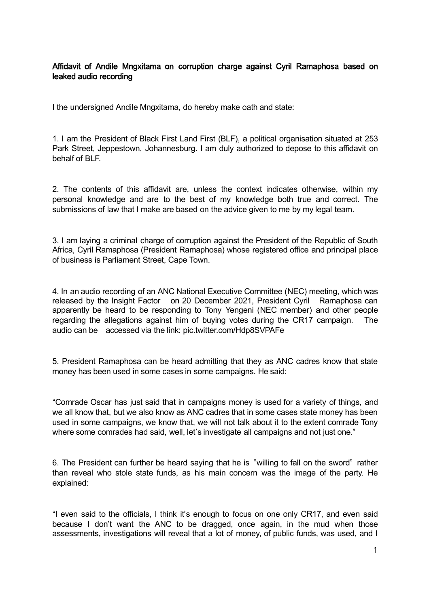## Affidavit of Andile Mngxitama on corruption charge against Cyril Ramaphosa based on leaked audio recording

I the undersigned Andile Mngxitama, do hereby make oath and state:

1. I am the President of Black First Land First (BLF), a political organisation situated at 253 Park Street, Jeppestown, Johannesburg. I am duly authorized to depose to this affidavit on behalf of BLF.

2. The contents of this affidavit are, unless the context indicates otherwise, within my personal knowledge and are to the best of my knowledge both true and correct. The submissions of law that I make are based on the advice given to me by my legal team.

3. I am laying a criminal charge of corruption against the President of the Republic of South Africa, Cyril Ramaphosa (President Ramaphosa) whose registered office and principal place of business is Parliament Street, Cape Town.

4. In an audio recording of an ANC National Executive Committee (NEC) meeting, which was released by the Insight Factor on 20 December 2021, President Cyril Ramaphosa can apparently be heard to be responding to Tony Yengeni (NEC member) and other people regarding the allegations against him of buying votes during the CR17 campaign. The audio can be accessed via the link: pic.twitter.com/Hdp8SVPAFe

5. President Ramaphosa can be heard admitting that they as ANC cadres know that state money has been used in some cases in some campaigns. He said:

"Comrade Oscar has just said that in campaigns money is used for a variety of things, and we all know that, but we also know as ANC cadres that in some cases state money has been used in some campaigns, we know that, we will not talk about it to the extent comrade Tony where some comrades had said, well, let's investigate all campaigns and not just one."

6. The President can further be heard saying that he is "willing to fall on the sword" rather than reveal who stole state funds, as his main concern was the image of the party. He explained:

"I even said to the officials, I think it's enough to focus on one only CR17, and even said because I don't want the ANC to be dragged, once again, in the mud when those assessments, investigations will reveal that a lot of money, of public funds, was used, and I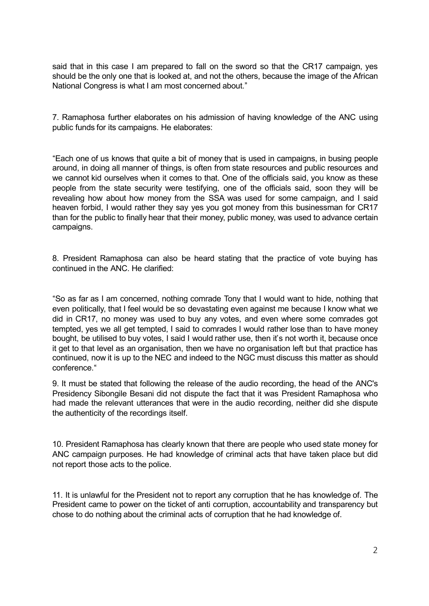said that in this case I am prepared to fall on the sword so that the CR17 campaign, yes should be the only one that is looked at, and not the others, because the image of the African National Congress is what I am most concerned about."

7. Ramaphosa further elaborates on his admission of having knowledge of the ANC using public funds for its campaigns. He elaborates:

"Each one of us knows that quite a bit of money that is used in campaigns, in busing people around, in doing all manner of things, is often from state resources and public resources and we cannot kid ourselves when it comes to that. One of the officials said, you know as these people from the state security were testifying, one of the officials said, soon they will be revealing how about how money from the SSA was used for some campaign, and I said heaven forbid, I would rather they say yes you got money from this businessman for CR17 than for the public to finally hear that their money, public money, was used to advance certain campaigns.

8. President Ramaphosa can also be heard stating that the practice of vote buying has continued in the ANC. He clarified:

"So as far as I am concerned, nothing comrade Tony that I would want to hide, nothing that even politically, that I feel would be so devastating even against me because I know what we did in CR17, no money was used to buy any votes, and even where some comrades got tempted, yes we all get tempted, I said to comrades I would rather lose than to have money bought, be utilised to buy votes, I said I would rather use, then it's not worth it, because once it get to that level as an organisation, then we have no organisation left but that practice has continued, now it is up to the NEC and indeed to the NGC must discuss this matter as should conference."

9. It must be stated that following the release of the audio recording, the head of the ANC's Presidency Sibongile Besani did not dispute the fact that it was President Ramaphosa who had made the relevant utterances that were in the audio recording, neither did she dispute the authenticity of the recordings itself.

10. President Ramaphosa has clearly known that there are people who used state money for ANC campaign purposes. He had knowledge of criminal acts that have taken place but did not report those acts to the police.

11. It is unlawful for the President not to report any corruption that he has knowledge of. The President came to power on the ticket of anti corruption, accountability and transparency but chose to do nothing about the criminal acts of corruption that he had knowledge of.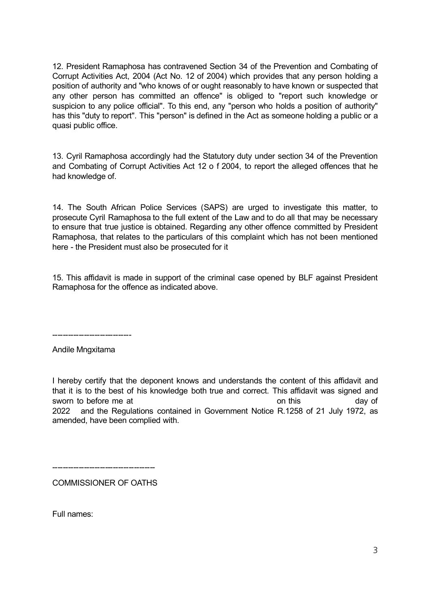12. President Ramaphosa has contravened Section 34 of the Prevention and Combating of Corrupt Activities Act, 2004 (Act No. 12 of 2004) which provides that any person holding a position of authority and "who knows of or ought reasonably to have known or suspected that any other person has committed an offence" is obliged to "report such knowledge or suspicion to any police official". To this end, any "person who holds a position of authority" has this "duty to report". This "person" is defined in the Act as someone holding a public or a quasi public office.

13. Cyril Ramaphosa accordingly had the Statutory duty under section 34 of the Prevention and Combating of Corrupt Activities Act 12 o f 2004, to report the alleged offences that he had knowledge of.

14. The South African Police Services (SAPS) are urged to investigate this matter, to prosecute Cyril Ramaphosa to the full extent of the Law and to do all that may be necessary to ensure that true justice is obtained. Regarding any other offence committed by President Ramaphosa, that relates to the particulars of this complaint which has not been mentioned here - the President must also be prosecuted for it

15. This affidavit is made in support of the criminal case opened by BLF against President Ramaphosa for the offence as indicated above.

------------------------------

Andile Mngxitama

I hereby certify that the deponent knows and understands the content of this affidavit and that it is to the best of his knowledge both true and correct. This affidavit was signed and sworn to before me at the state of the state of this day of this day of 2022 and the Regulations contained in Government Notice R.1258 of 21 July 1972, as amended, have been complied with.

----------------------------------

COMMISSIONER OF OATHS

Full names: